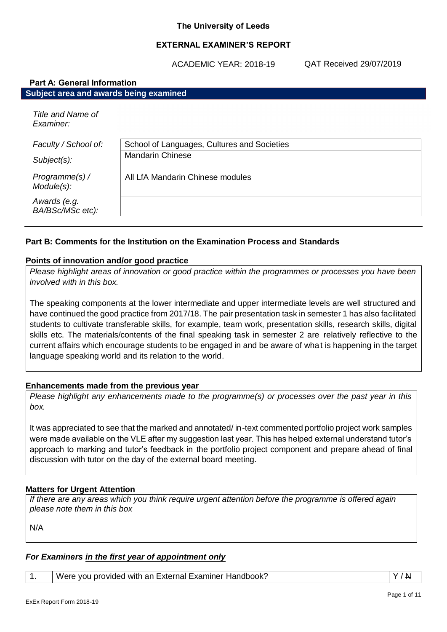## **EXTERNAL EXAMINER'S REPORT**

ACADEMIC YEAR: 2018-19

QAT Received 29/07/2019

| <b>Part A: General Information</b>     |                                             |  |
|----------------------------------------|---------------------------------------------|--|
| Subject area and awards being examined |                                             |  |
| Title and Name of<br>Examiner:         |                                             |  |
| Faculty / School of:                   | School of Languages, Cultures and Societies |  |
| $Subject(s)$ :                         | <b>Mandarin Chinese</b>                     |  |
| Programme(s) /<br>Module(s):           | All LfA Mandarin Chinese modules            |  |
| Awards (e.g.<br>BA/BSc/MSc etc):       |                                             |  |

# **Part B: Comments for the Institution on the Examination Process and Standards**

#### **Points of innovation and/or good practice**

*Please highlight areas of innovation or good practice within the programmes or processes you have been involved with in this box.*

The speaking components at the lower intermediate and upper intermediate levels are well structured and have continued the good practice from 2017/18. The pair presentation task in semester 1 has also facilitated students to cultivate transferable skills, for example, team work, presentation skills, research skills, digital skills etc. The materials/contents of the final speaking task in semester 2 are relatively reflective to the current affairs which encourage students to be engaged in and be aware of what is happening in the target language speaking world and its relation to the world.

## **Enhancements made from the previous year**

*Please highlight any enhancements made to the programme(s) or processes over the past year in this box.*

It was appreciated to see that the marked and annotated/ in-text commented portfolio project work samples were made available on the VLE after my suggestion last year. This has helped external understand tutor's approach to marking and tutor's feedback in the portfolio project component and prepare ahead of final discussion with tutor on the day of the external board meeting.

## **Matters for Urgent Attention**

*If there are any areas which you think require urgent attention before the programme is offered again please note them in this box*

N/A

## *For Examiners in the first year of appointment only*

1. Vere you provided with an External Examiner Handbook? Van Victorian Victorian Victorian Victorian Victorian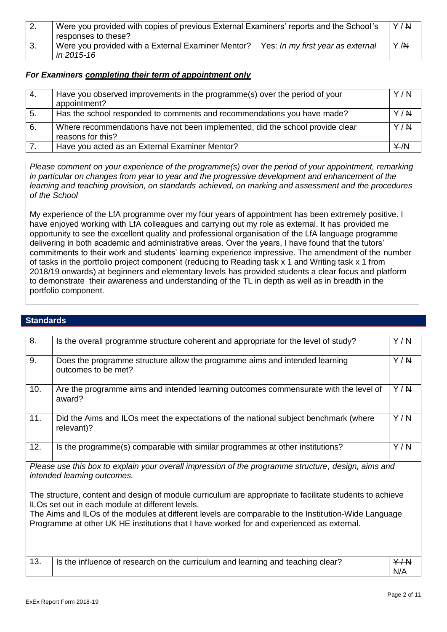|    | Were you provided with copies of previous External Examiners' reports and the School's  | Y/N |
|----|-----------------------------------------------------------------------------------------|-----|
|    | responses to these?                                                                     |     |
| 3. | Were you provided with a External Examiner Mentor?<br>Yes: In my first year as external | Y/N |
|    | in 2015-16                                                                              |     |

#### *For Examiners completing their term of appointment only*

| -4. | Have you observed improvements in the programme(s) over the period of your<br>appointment?         | Y/N |
|-----|----------------------------------------------------------------------------------------------------|-----|
| 5.  | Has the school responded to comments and recommendations you have made?                            | Y/N |
| 6.  | Where recommendations have not been implemented, did the school provide clear<br>reasons for this? | Y/N |
|     | Have you acted as an External Examiner Mentor?                                                     | Y/N |

*Please comment on your experience of the programme(s) over the period of your appointment, remarking in particular on changes from year to year and the progressive development and enhancement of the learning and teaching provision, on standards achieved, on marking and assessment and the procedures of the School*

My experience of the LfA programme over my four years of appointment has been extremely positive. I have enjoyed working with LfA colleagues and carrying out my role as external. It has provided me opportunity to see the excellent quality and professional organisation of the LfA language programme delivering in both academic and administrative areas. Over the years, I have found that the tutors' commitments to their work and students' learning experience impressive. The amendment of the number of tasks in the portfolio project component (reducing to Reading task x 1 and Writing task x 1 from 2018/19 onwards) at beginners and elementary levels has provided students a clear focus and platform to demonstrate their awareness and understanding of the TL in depth as well as in breadth in the portfolio component.

#### **Standards**

| 8.                                                                                                                                                                                                | Is the overall programme structure coherent and appropriate for the level of study?                | Y/N        |
|---------------------------------------------------------------------------------------------------------------------------------------------------------------------------------------------------|----------------------------------------------------------------------------------------------------|------------|
| 9.                                                                                                                                                                                                | Does the programme structure allow the programme aims and intended learning<br>outcomes to be met? | Y/N        |
| 10.                                                                                                                                                                                               | Are the programme aims and intended learning outcomes commensurate with the level of<br>award?     | Y/N        |
| 11.                                                                                                                                                                                               | Did the Aims and ILOs meet the expectations of the national subject benchmark (where<br>relevant)? | Y/N        |
| 12.                                                                                                                                                                                               | Is the programme(s) comparable with similar programmes at other institutions?                      | Y/N        |
| Please use this box to explain your overall impression of the programme structure, design, aims and<br>intended learning outcomes.                                                                |                                                                                                    |            |
| The structure, content and design of module curriculum are appropriate to facilitate students to achieve<br>ILOs set out in each module at different levels.                                      |                                                                                                    |            |
| The Aims and ILOs of the modules at different levels are comparable to the Institution-Wide Language<br>Programme at other UK HE institutions that I have worked for and experienced as external. |                                                                                                    |            |
|                                                                                                                                                                                                   |                                                                                                    |            |
| 13.                                                                                                                                                                                               | Is the influence of research on the curriculum and learning and teaching clear?                    | Y/N<br>N/A |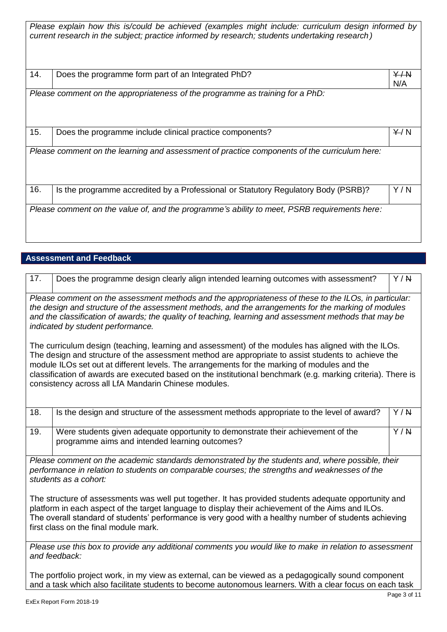| Please explain how this is/could be achieved (examples might include: curriculum design informed by<br>current research in the subject; practice informed by research; students undertaking research) |                                                                                              |            |
|-------------------------------------------------------------------------------------------------------------------------------------------------------------------------------------------------------|----------------------------------------------------------------------------------------------|------------|
| 14.                                                                                                                                                                                                   | Does the programme form part of an Integrated PhD?                                           | Y/M<br>N/A |
|                                                                                                                                                                                                       | Please comment on the appropriateness of the programme as training for a PhD:                |            |
| 15.                                                                                                                                                                                                   | Does the programme include clinical practice components?                                     | $+/N$      |
| Please comment on the learning and assessment of practice components of the curriculum here:                                                                                                          |                                                                                              |            |
| 16.                                                                                                                                                                                                   | Is the programme accredited by a Professional or Statutory Regulatory Body (PSRB)?           | Y / N      |
|                                                                                                                                                                                                       | Please comment on the value of, and the programme's ability to meet, PSRB requirements here: |            |

# **Assessment and Feedback**

| 17.                                                                                                                                                                                                                                                                                                                                                                                                                                                                                | Does the programme design clearly align intended learning outcomes with assessment?                                                | Y/N |
|------------------------------------------------------------------------------------------------------------------------------------------------------------------------------------------------------------------------------------------------------------------------------------------------------------------------------------------------------------------------------------------------------------------------------------------------------------------------------------|------------------------------------------------------------------------------------------------------------------------------------|-----|
| Please comment on the assessment methods and the appropriateness of these to the ILOs, in particular:<br>the design and structure of the assessment methods, and the arrangements for the marking of modules<br>and the classification of awards; the quality of teaching, learning and assessment methods that may be<br>indicated by student performance.                                                                                                                        |                                                                                                                                    |     |
| The curriculum design (teaching, learning and assessment) of the modules has aligned with the ILOs.<br>The design and structure of the assessment method are appropriate to assist students to achieve the<br>module ILOs set out at different levels. The arrangements for the marking of modules and the<br>classification of awards are executed based on the institutional benchmark (e.g. marking criteria). There is<br>consistency across all LfA Mandarin Chinese modules. |                                                                                                                                    |     |
| 18.                                                                                                                                                                                                                                                                                                                                                                                                                                                                                | Is the design and structure of the assessment methods appropriate to the level of award?                                           | Y/N |
| 19.                                                                                                                                                                                                                                                                                                                                                                                                                                                                                | Were students given adequate opportunity to demonstrate their achievement of the<br>programme aims and intended learning outcomes? | Y/N |
| Please comment on the academic standards demonstrated by the students and, where possible, their<br>performance in relation to students on comparable courses; the strengths and weaknesses of the<br>students as a cohort:                                                                                                                                                                                                                                                        |                                                                                                                                    |     |
| The structure of assessments was well put together. It has provided students adequate opportunity and<br>platform in each aspect of the target language to display their achievement of the Aims and ILOs.<br>The overall standard of students' performance is very good with a healthy number of students achieving<br>first class on the final module mark.                                                                                                                      |                                                                                                                                    |     |
| Please use this box to provide any additional comments you would like to make in relation to assessment<br>and feedback:                                                                                                                                                                                                                                                                                                                                                           |                                                                                                                                    |     |

The portfolio project work, in my view as external, can be viewed as a pedagogically sound component and a task which also facilitate students to become autonomous learners. With a clear focus on each task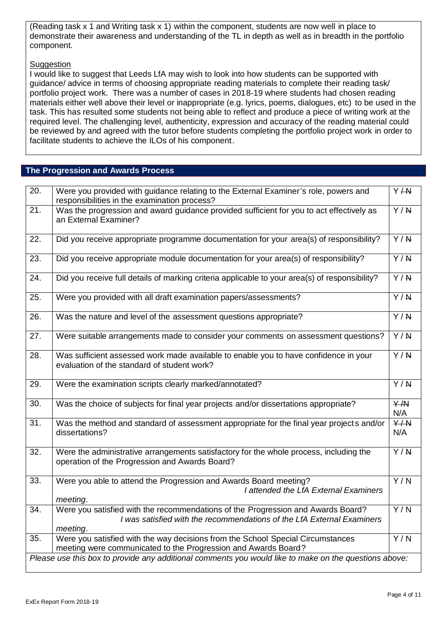(Reading task x 1 and Writing task x 1) within the component, students are now well in place to demonstrate their awareness and understanding of the TL in depth as well as in breadth in the portfolio component.

# **Suggestion**

I would like to suggest that Leeds LfA may wish to look into how students can be supported with guidance/ advice in terms of choosing appropriate reading materials to complete their reading task/ portfolio project work. There was a number of cases in 2018-19 where students had chosen reading materials either well above their level or inappropriate (e.g. lyrics, poems, dialogues, etc) to be used in the task. This has resulted some students not being able to reflect and produce a piece of writing work at the required level. The challenging level, authenticity, expression and accuracy of the reading material could be reviewed by and agreed with the tutor before students completing the portfolio project work in order to facilitate students to achieve the ILOs of his component.

# **The Progression and Awards Process**

| $\overline{20}$ . | Were you provided with guidance relating to the External Examiner's role, powers and<br>responsibilities in the examination process?                                   | Y/ H                  |
|-------------------|------------------------------------------------------------------------------------------------------------------------------------------------------------------------|-----------------------|
| 21.               | Was the progression and award guidance provided sufficient for you to act effectively as<br>an External Examiner?                                                      | $\overline{Y/N}$      |
| 22.               | Did you receive appropriate programme documentation for your area(s) of responsibility?                                                                                | $\overline{Y/R}$      |
| 23.               | Did you receive appropriate module documentation for your area(s) of responsibility?                                                                                   | $\overline{Y/N}$      |
| 24.               | Did you receive full details of marking criteria applicable to your area(s) of responsibility?                                                                         | $\overline{Y/R}$      |
| 25.               | Were you provided with all draft examination papers/assessments?                                                                                                       | $\overline{Y/R}$      |
| 26.               | Was the nature and level of the assessment questions appropriate?                                                                                                      | $\overline{Y/R}$      |
| 27.               | Were suitable arrangements made to consider your comments on assessment questions?                                                                                     | $\overline{Y/N}$      |
| 28.               | Was sufficient assessed work made available to enable you to have confidence in your<br>evaluation of the standard of student work?                                    | $\overline{Y/R}$      |
| 29.               | Were the examination scripts clearly marked/annotated?                                                                                                                 | $\overline{Y/N}$      |
| 30.               | Was the choice of subjects for final year projects and/or dissertations appropriate?                                                                                   | Y/N<br>N/A            |
| $\overline{31}$ . | Was the method and standard of assessment appropriate for the final year projects and/or<br>dissertations?                                                             | $\overline{Y}$<br>N/A |
| 32.               | Were the administrative arrangements satisfactory for the whole process, including the<br>operation of the Progression and Awards Board?                               | $\overline{Y/R}$      |
| 33.               |                                                                                                                                                                        |                       |
|                   | Were you able to attend the Progression and Awards Board meeting?<br>I attended the LfA External Examiners<br>meeting.                                                 | $\overline{Y/N}$      |
| 34.               | Were you satisfied with the recommendations of the Progression and Awards Board?<br>I was satisfied with the recommendations of the LfA External Examiners<br>meeting. | $\overline{Y/N}$      |
| 35.               | Were you satisfied with the way decisions from the School Special Circumstances<br>meeting were communicated to the Progression and Awards Board?                      | Y/N                   |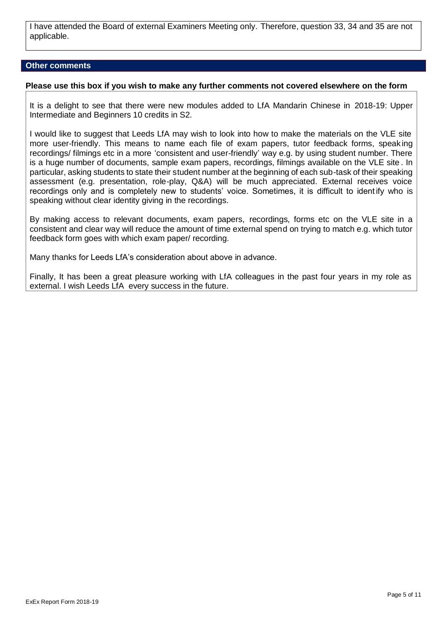I have attended the Board of external Examiners Meeting only. Therefore, question 33, 34 and 35 are not applicable.

#### **Other comments**

#### **Please use this box if you wish to make any further comments not covered elsewhere on the form**

It is a delight to see that there were new modules added to LfA Mandarin Chinese in 2018-19: Upper Intermediate and Beginners 10 credits in S2.

I would like to suggest that Leeds LfA may wish to look into how to make the materials on the VLE site more user-friendly. This means to name each file of exam papers, tutor feedback forms, speak ing recordings/ filmings etc in a more 'consistent and user-friendly' way e.g. by using student number. There is a huge number of documents, sample exam papers, recordings, filmings available on the VLE site . In particular, asking students to state their student number at the beginning of each sub-task of their speaking assessment (e.g. presentation, role-play, Q&A) will be much appreciated. External receives voice recordings only and is completely new to students' voice. Sometimes, it is difficult to ident ify who is speaking without clear identity giving in the recordings.

By making access to relevant documents, exam papers, recordings, forms etc on the VLE site in a consistent and clear way will reduce the amount of time external spend on trying to match e.g. which tutor feedback form goes with which exam paper/ recording.

Many thanks for Leeds LfA's consideration about above in advance.

Finally, It has been a great pleasure working with LfA colleagues in the past four years in my role as external. I wish Leeds LfA every success in the future.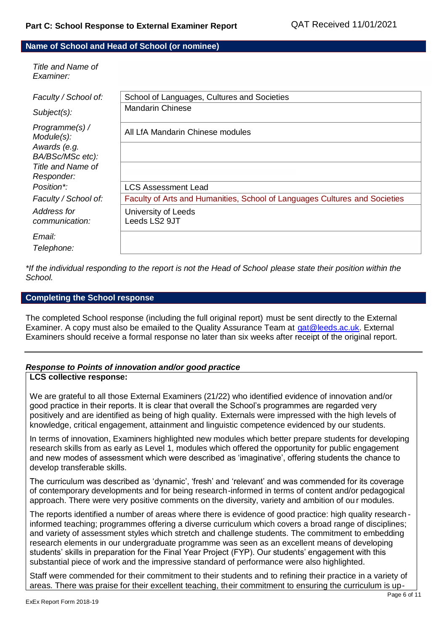#### **Name of School and Head of School (or nominee)**

*Title and Name of Examiner:*

| Faculty / School of:             | School of Languages, Cultures and Societies                                |
|----------------------------------|----------------------------------------------------------------------------|
| Subject(s):                      | <b>Mandarin Chinese</b>                                                    |
| Programme(s) /<br>Module(s):     | All LfA Mandarin Chinese modules                                           |
| Awards (e.g.<br>BA/BSc/MSc etc): |                                                                            |
| Title and Name of                |                                                                            |
| Responder:                       |                                                                            |
| Position*:                       | <b>LCS Assessment Lead</b>                                                 |
| Faculty / School of:             | Faculty of Arts and Humanities, School of Languages Cultures and Societies |
| Address for                      | University of Leeds                                                        |
| communication:                   | Leeds LS2 9JT                                                              |
| Email:                           |                                                                            |
| Telephone:                       |                                                                            |

*\*If the individual responding to the report is not the Head of School please state their position within the School.*

#### **Completing the School response**

The completed School response (including the full original report) must be sent directly to the External Examiner. A copy must also be emailed to the Quality Assurance Team at [qat@leeds.ac.uk.](mailto:qat@leeds.ac.uk) External Examiners should receive a formal response no later than six weeks after receipt of the original report.

#### *Response to Points of innovation and/or good practice*

## **LCS collective response:**

We are grateful to all those External Examiners (21/22) who identified evidence of innovation and/or good practice in their reports. It is clear that overall the School's programmes are regarded very positively and are identified as being of high quality. Externals were impressed with the high levels of knowledge, critical engagement, attainment and linguistic competence evidenced by our students.

In terms of innovation, Examiners highlighted new modules which better prepare students for developing research skills from as early as Level 1, modules which offered the opportunity for public engagement and new modes of assessment which were described as 'imaginative', offering students the chance to develop transferable skills.

The curriculum was described as 'dynamic', 'fresh' and 'relevant' and was commended for its coverage of contemporary developments and for being research-informed in terms of content and/or pedagogical approach. There were very positive comments on the diversity, variety and ambition of ou r modules.

The reports identified a number of areas where there is evidence of good practice: high quality research informed teaching; programmes offering a diverse curriculum which covers a broad range of disciplines; and variety of assessment styles which stretch and challenge students. The commitment to embedding research elements in our undergraduate programme was seen as an excellent means of developing students' skills in preparation for the Final Year Project (FYP). Our students' engagement with this substantial piece of work and the impressive standard of performance were also highlighted.

Staff were commended for their commitment to their students and to refining their practice in a variety of areas. There was praise for their excellent teaching, their commitment to ensuring the curriculum is up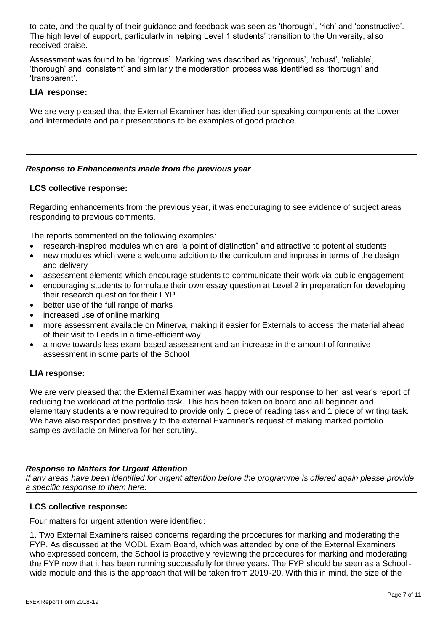to-date, and the quality of their guidance and feedback was seen as 'thorough', 'rich' and 'constructive'. The high level of support, particularly in helping Level 1 students' transition to the University, al so received praise.

Assessment was found to be 'rigorous'. Marking was described as 'rigorous', 'robust', 'reliable', 'thorough' and 'consistent' and similarly the moderation process was identified as 'thorough' and 'transparent'.

# **LfA response:**

We are very pleased that the External Examiner has identified our speaking components at the Lower and Intermediate and pair presentations to be examples of good practice.

# *Response to Enhancements made from the previous year*

# **LCS collective response:**

Regarding enhancements from the previous year, it was encouraging to see evidence of subject areas responding to previous comments.

The reports commented on the following examples:

- research-inspired modules which are "a point of distinction" and attractive to potential students
- new modules which were a welcome addition to the curriculum and impress in terms of the design and delivery
- assessment elements which encourage students to communicate their work via public engagement
- encouraging students to formulate their own essay question at Level 2 in preparation for developing their research question for their FYP
- better use of the full range of marks
- increased use of online marking
- more assessment available on Minerva, making it easier for Externals to access the material ahead of their visit to Leeds in a time-efficient way
- a move towards less exam-based assessment and an increase in the amount of formative assessment in some parts of the School

# **LfA response:**

We are very pleased that the External Examiner was happy with our response to her last year's report of reducing the workload at the portfolio task. This has been taken on board and all beginner and elementary students are now required to provide only 1 piece of reading task and 1 piece of writing task. We have also responded positively to the external Examiner's request of making marked portfolio samples available on Minerva for her scrutiny.

# *Response to Matters for Urgent Attention*

*If any areas have been identified for urgent attention before the programme is offered again please provide a specific response to them here:*

## **LCS collective response:**

Four matters for urgent attention were identified:

1. Two External Examiners raised concerns regarding the procedures for marking and moderating the FYP. As discussed at the MODL Exam Board, which was attended by one of the External Examiners who expressed concern, the School is proactively reviewing the procedures for marking and moderating the FYP now that it has been running successfully for three years. The FYP should be seen as a Schoolwide module and this is the approach that will be taken from 2019-20. With this in mind, the size of the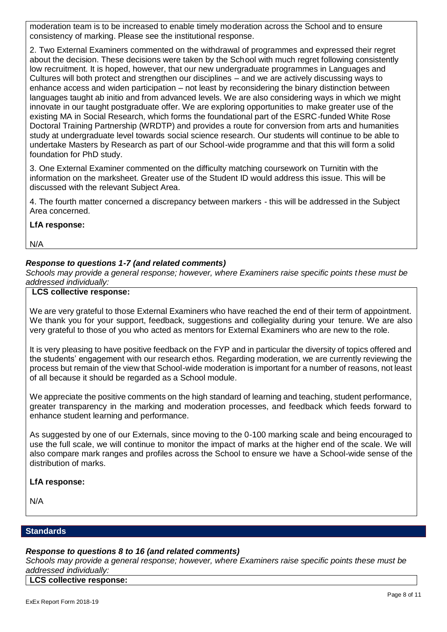moderation team is to be increased to enable timely moderation across the School and to ensure consistency of marking. Please see the institutional response.

2. Two External Examiners commented on the withdrawal of programmes and expressed their regret about the decision. These decisions were taken by the School with much regret following consistently low recruitment. It is hoped, however, that our new undergraduate programmes in Languages and Cultures will both protect and strengthen our disciplines – and we are actively discussing ways to enhance access and widen participation – not least by reconsidering the binary distinction between languages taught ab initio and from advanced levels. We are also considering ways in which we might innovate in our taught postgraduate offer. We are exploring opportunities to make greater use of the existing MA in Social Research, which forms the foundational part of the ESRC-funded White Rose Doctoral Training Partnership (WRDTP) and provides a route for conversion from arts and humanities study at undergraduate level towards social science research. Our students will continue to be able to undertake Masters by Research as part of our School-wide programme and that this will form a solid foundation for PhD study.

3. One External Examiner commented on the difficulty matching coursework on Turnitin with the information on the marksheet. Greater use of the Student ID would address this issue. This will be discussed with the relevant Subject Area.

4. The fourth matter concerned a discrepancy between markers - this will be addressed in the Subject Area concerned.

**LfA response:**

N/A

## *Response to questions 1-7 (and related comments)*

*Schools may provide a general response; however, where Examiners raise specific points these must be addressed individually:*

# **LCS collective response:**

We are very grateful to those External Examiners who have reached the end of their term of appointment. We thank you for your support, feedback, suggestions and collegiality during your tenure. We are also very grateful to those of you who acted as mentors for External Examiners who are new to the role.

It is very pleasing to have positive feedback on the FYP and in particular the diversity of topics offered and the students' engagement with our research ethos. Regarding moderation, we are currently reviewing the process but remain of the view that School-wide moderation is important for a number of reasons, not least of all because it should be regarded as a School module.

We appreciate the positive comments on the high standard of learning and teaching, student performance, greater transparency in the marking and moderation processes, and feedback which feeds forward to enhance student learning and performance.

As suggested by one of our Externals, since moving to the 0-100 marking scale and being encouraged to use the full scale, we will continue to monitor the impact of marks at the higher end of the scale. We will also compare mark ranges and profiles across the School to ensure we have a School-wide sense of the distribution of marks.

## **LfA response:**

N/A

#### **Standards**

## *Response to questions 8 to 16 (and related comments)*

*Schools may provide a general response; however, where Examiners raise specific points these must be addressed individually:*

#### **LCS collective response:**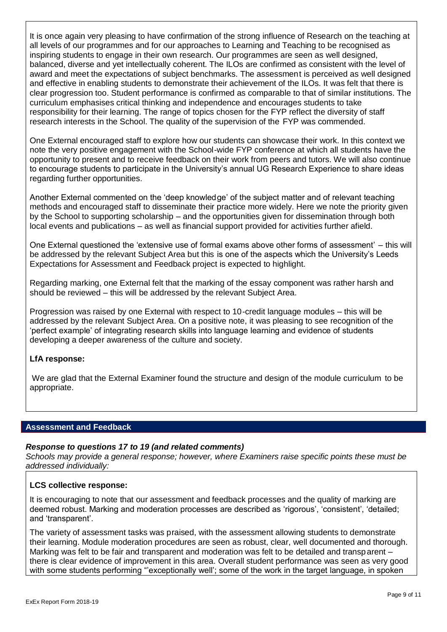It is once again very pleasing to have confirmation of the strong influence of Research on the teaching at all levels of our programmes and for our approaches to Learning and Teaching to be recognised as inspiring students to engage in their own research. Our programmes are seen as well designed, balanced, diverse and yet intellectually coherent. The ILOs are confirmed as consistent with the level of award and meet the expectations of subject benchmarks. The assessment is perceived as well designed and effective in enabling students to demonstrate their achievement of the ILOs. It was felt that there is clear progression too. Student performance is confirmed as comparable to that of similar institutions. The curriculum emphasises critical thinking and independence and encourages students to take responsibility for their learning. The range of topics chosen for the FYP reflect the diversity of staff research interests in the School. The quality of the supervision of the FYP was commended.

One External encouraged staff to explore how our students can showcase their work. In this context we note the very positive engagement with the School-wide FYP conference at which all students have the opportunity to present and to receive feedback on their work from peers and tutors. We will also continue to encourage students to participate in the University's annual UG Research Experience to share ideas regarding further opportunities.

Another External commented on the 'deep knowledge' of the subject matter and of relevant teaching methods and encouraged staff to disseminate their practice more widely. Here we note the priority given by the School to supporting scholarship – and the opportunities given for dissemination through both local events and publications – as well as financial support provided for activities further afield.

One External questioned the 'extensive use of formal exams above other forms of assessment' – this will be addressed by the relevant Subject Area but this is one of the aspects which the University's Leeds Expectations for Assessment and Feedback project is expected to highlight.

Regarding marking, one External felt that the marking of the essay component was rather harsh and should be reviewed – this will be addressed by the relevant Subject Area.

Progression was raised by one External with respect to 10-credit language modules – this will be addressed by the relevant Subject Area. On a positive note, it was pleasing to see recognition of the 'perfect example' of integrating research skills into language learning and evidence of students developing a deeper awareness of the culture and society.

## **LfA response:**

We are glad that the External Examiner found the structure and design of the module curriculum to be appropriate.

## **Assessment and Feedback**

## *Response to questions 17 to 19 (and related comments)*

*Schools may provide a general response; however, where Examiners raise specific points these must be addressed individually:*

## **LCS collective response:**

It is encouraging to note that our assessment and feedback processes and the quality of marking are deemed robust. Marking and moderation processes are described as 'rigorous', 'consistent', 'detailed; and 'transparent'.

The variety of assessment tasks was praised, with the assessment allowing students to demonstrate their learning. Module moderation procedures are seen as robust, clear, well documented and thorough. Marking was felt to be fair and transparent and moderation was felt to be detailed and transparent – there is clear evidence of improvement in this area. Overall student performance was seen as very good with some students performing "exceptionally well'; some of the work in the target language, in spoken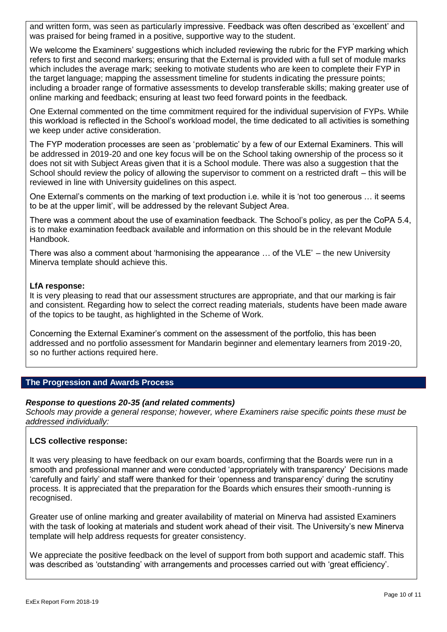and written form, was seen as particularly impressive. Feedback was often described as 'excellent' and was praised for being framed in a positive, supportive way to the student.

We welcome the Examiners' suggestions which included reviewing the rubric for the FYP marking which refers to first and second markers; ensuring that the External is provided with a full set of module marks which includes the average mark; seeking to motivate students who are keen to complete their FYP in the target language; mapping the assessment timeline for students indicating the pressure points; including a broader range of formative assessments to develop transferable skills; making greater use of online marking and feedback; ensuring at least two feed forward points in the feedback.

One External commented on the time commitment required for the individual supervision of FYPs. While this workload is reflected in the School's workload model, the time dedicated to all activities is something we keep under active consideration.

The FYP moderation processes are seen as 'problematic' by a few of our External Examiners. This will be addressed in 2019-20 and one key focus will be on the School taking ownership of the process so it does not sit with Subject Areas given that it is a School module. There was also a suggestion that the School should review the policy of allowing the supervisor to comment on a restricted draft – this will be reviewed in line with University guidelines on this aspect.

One External's comments on the marking of text production i.e. while it is 'not too generous … it seems to be at the upper limit', will be addressed by the relevant Subject Area.

There was a comment about the use of examination feedback. The School's policy, as per the CoPA 5.4, is to make examination feedback available and information on this should be in the relevant Module Handbook.

There was also a comment about 'harmonising the appearance … of the VLE' – the new University Minerva template should achieve this.

## **LfA response:**

It is very pleasing to read that our assessment structures are appropriate, and that our marking is fair and consistent. Regarding how to select the correct reading materials, students have been made aware of the topics to be taught, as highlighted in the Scheme of Work.

Concerning the External Examiner's comment on the assessment of the portfolio, this has been addressed and no portfolio assessment for Mandarin beginner and elementary learners from 2019 -20, so no further actions required here.

## **The Progression and Awards Process**

## *Response to questions 20-35 (and related comments)*

*Schools may provide a general response; however, where Examiners raise specific points these must be addressed individually:*

## **LCS collective response:**

It was very pleasing to have feedback on our exam boards, confirming that the Boards were run in a smooth and professional manner and were conducted 'appropriately with transparency' Decisions made 'carefully and fairly' and staff were thanked for their 'openness and transparency' during the scrutiny process. It is appreciated that the preparation for the Boards which ensures their smooth-running is recognised.

Greater use of online marking and greater availability of material on Minerva had assisted Examiners with the task of looking at materials and student work ahead of their visit. The University's new Minerva template will help address requests for greater consistency.

We appreciate the positive feedback on the level of support from both support and academic staff. This was described as 'outstanding' with arrangements and processes carried out with 'great efficiency'.